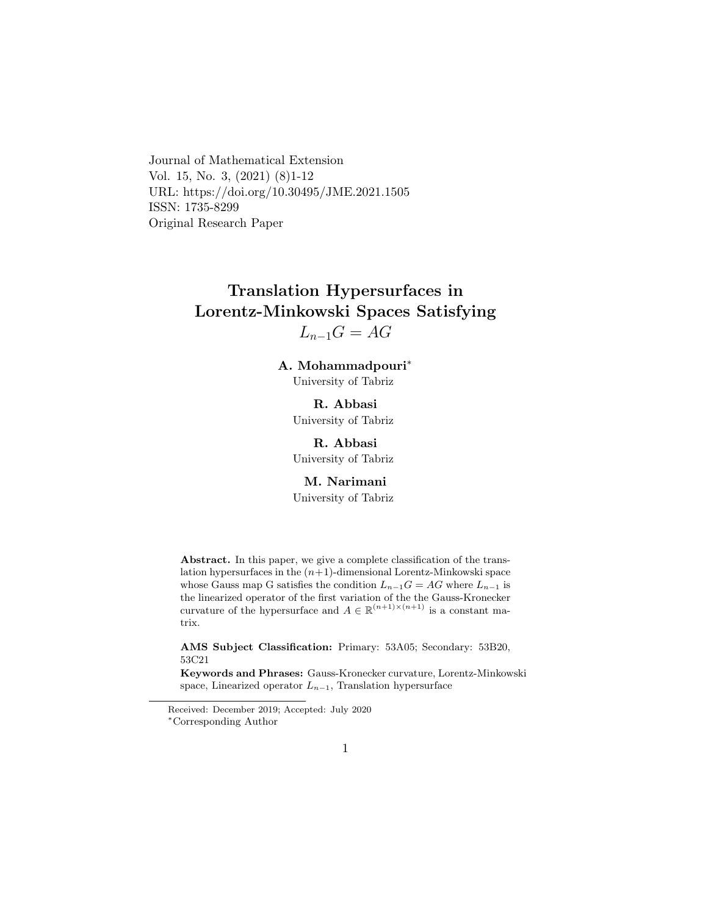Journal of Mathematical Extension Vol. 15, No. 3, (2021) (8)1-12 URL: https://doi.org/10.30495/JME.2021.1505 ISSN: 1735-8299 Original Research Paper

# Translation Hypersurfaces in Lorentz-Minkowski Spaces Satisfying  $L_{n-1}G = AG$

A. Mohammadpouri[∗](#page-0-0)

University of Tabriz

R. Abbasi University of Tabriz

R. Abbasi University of Tabriz

M. Narimani

University of Tabriz

Abstract. In this paper, we give a complete classification of the translation hypersurfaces in the  $(n+1)$ -dimensional Lorentz-Minkowski space whose Gauss map G satisfies the condition  $L_{n-1}G = AG$  where  $L_{n-1}$  is the linearized operator of the first variation of the the Gauss-Kronecker curvature of the hypersurface and  $A \in \mathbb{R}^{(n+1)\times (n+1)}$  is a constant matrix.

AMS Subject Classification: Primary: 53A05; Secondary: 53B20, 53C21

Keywords and Phrases: Gauss-Kronecker curvature, Lorentz-Minkowski space, Linearized operator  $L_{n-1}$ , Translation hypersurface

<span id="page-0-0"></span>Received: December 2019; Accepted: July 2020 <sup>∗</sup>Corresponding Author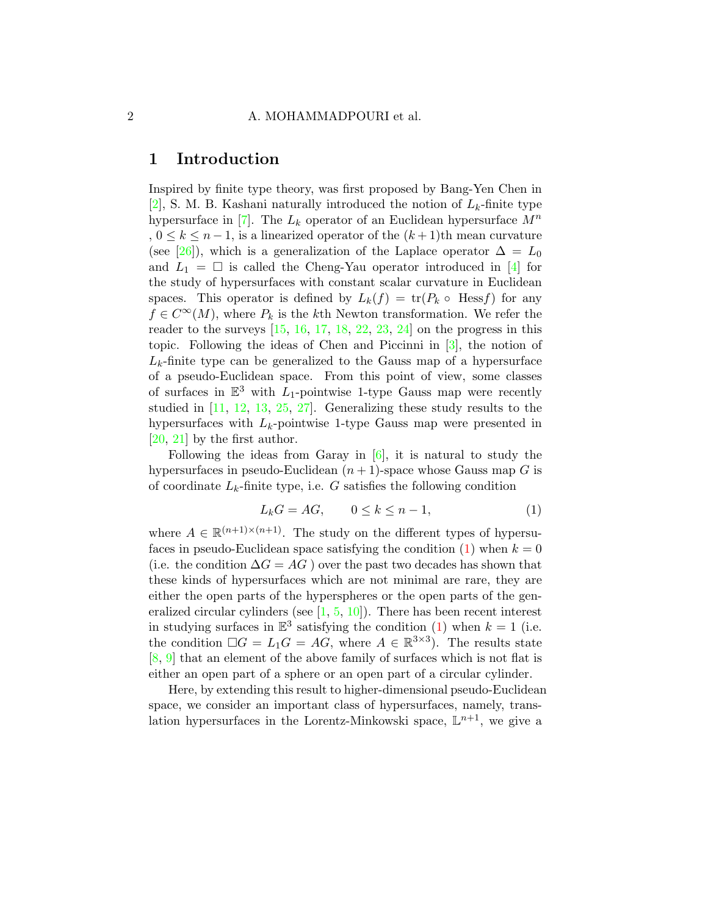### 1 Introduction

Inspired by finite type theory, was first proposed by Bang-Yen Chen in [\[2\]](#page-8-0), S. M. B. Kashani naturally introduced the notion of  $L_k$ -finite type hypersurface in [\[7\]](#page-8-1). The  $L_k$  operator of an Euclidean hypersurface  $M^n$ ,  $0 \leq k \leq n-1$ , is a linearized operator of the  $(k+1)$ th mean curvature (see [\[26\]](#page-10-0)), which is a generalization of the Laplace operator  $\Delta = L_0$ and  $L_1 = \Box$  is called the Cheng-Yau operator introduced in [\[4\]](#page-8-2) for the study of hypersurfaces with constant scalar curvature in Euclidean spaces. This operator is defined by  $L_k(f) = \text{tr}(P_k \circ \text{Hess} f)$  for any  $f \in C^{\infty}(M)$ , where  $P_k$  is the kth Newton transformation. We refer the reader to the surveys  $[15, 16, 17, 18, 22, 23, 24]$  $[15, 16, 17, 18, 22, 23, 24]$  $[15, 16, 17, 18, 22, 23, 24]$  $[15, 16, 17, 18, 22, 23, 24]$  $[15, 16, 17, 18, 22, 23, 24]$  $[15, 16, 17, 18, 22, 23, 24]$  $[15, 16, 17, 18, 22, 23, 24]$  $[15, 16, 17, 18, 22, 23, 24]$  $[15, 16, 17, 18, 22, 23, 24]$  $[15, 16, 17, 18, 22, 23, 24]$  $[15, 16, 17, 18, 22, 23, 24]$  $[15, 16, 17, 18, 22, 23, 24]$  $[15, 16, 17, 18, 22, 23, 24]$  on the progress in this topic. Following the ideas of Chen and Piccinni in [\[3\]](#page-8-3), the notion of  $L_k$ -finite type can be generalized to the Gauss map of a hypersurface of a pseudo-Euclidean space. From this point of view, some classes of surfaces in  $\mathbb{E}^3$  with  $L_1$ -pointwise 1-type Gauss map were recently studied in [\[11,](#page-9-4) [12,](#page-9-5) [13,](#page-9-6) [25,](#page-10-4) [27\]](#page-10-5). Generalizing these study results to the hypersurfaces with  $L_k$ -pointwise 1-type Gauss map were presented in [\[20,](#page-10-6) [21\]](#page-10-7) by the first author.

Following the ideas from Garay in  $[6]$ , it is natural to study the hypersurfaces in pseudo-Euclidean  $(n + 1)$ -space whose Gauss map G is of coordinate  $L_k$ -finite type, i.e. G satisfies the following condition

<span id="page-1-0"></span>
$$
L_k G = A G, \qquad 0 \le k \le n - 1,\tag{1}
$$

where  $A \in \mathbb{R}^{(n+1)\times(n+1)}$ . The study on the different types of hypersufaces in pseudo-Euclidean space satisfying the condition  $(1)$  when  $k = 0$ (i.e. the condition  $\Delta G = AG$ ) over the past two decades has shown that these kinds of hypersurfaces which are not minimal are rare, they are either the open parts of the hyperspheres or the open parts of the generalized circular cylinders (see [\[1,](#page-8-5) [5,](#page-8-6) [10\]](#page-9-7)). There has been recent interest in studying surfaces in  $\mathbb{E}^3$  satisfying the condition [\(1\)](#page-1-0) when  $k = 1$  (i.e. the condition  $\Box G = L_1 G = AG$ , where  $A \in \mathbb{R}^{3 \times 3}$ . The results state [\[8,](#page-9-8) [9\]](#page-9-9) that an element of the above family of surfaces which is not flat is either an open part of a sphere or an open part of a circular cylinder.

Here, by extending this result to higher-dimensional pseudo-Euclidean space, we consider an important class of hypersurfaces, namely, translation hypersurfaces in the Lorentz-Minkowski space,  $\mathbb{L}^{n+1}$ , we give a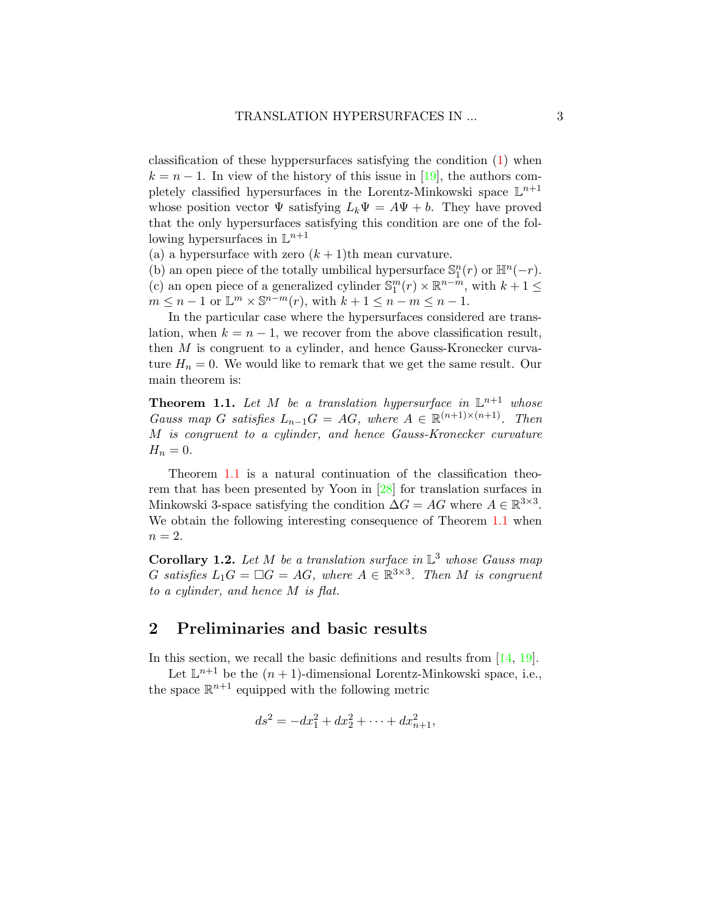classification of these hyppersurfaces satisfying the condition [\(1\)](#page-1-0) when  $k = n - 1$ . In view of the history of this issue in [\[19\]](#page-9-10), the authors completely classified hypersurfaces in the Lorentz-Minkowski space  $\mathbb{L}^{n+1}$ whose position vector  $\Psi$  satisfying  $L_k \Psi = A \Psi + b$ . They have proved that the only hypersurfaces satisfying this condition are one of the following hypersurfaces in  $\mathbb{L}^{n+1}$ 

(a) a hypersurface with zero  $(k + 1)$ th mean curvature.

(b) an open piece of the totally umbilical hypersurface  $\mathbb{S}_1^n(r)$  or  $\mathbb{H}^n(-r)$ . (c) an open piece of a generalized cylinder  $\mathbb{S}^m_1(r) \times \mathbb{R}^{n-m}$ , with  $k+1 \leq$  $m \leq n-1$  or  $\mathbb{L}^m \times \mathbb{S}^{n-m}(r)$ , with  $k+1 \leq n-m \leq n-1$ .

In the particular case where the hypersurfaces considered are translation, when  $k = n - 1$ , we recover from the above classification result, then M is congruent to a cylinder, and hence Gauss-Kronecker curvature  $H_n = 0$ . We would like to remark that we get the same result. Our main theorem is:

<span id="page-2-0"></span>**Theorem 1.1.** Let M be a translation hypersurface in  $\mathbb{L}^{n+1}$  whose Gauss map G satisfies  $L_{n-1}G = AG$ , where  $A \in \mathbb{R}^{(n+1)\times(n+1)}$ . Then M is congruent to a cylinder, and hence Gauss-Kronecker curvature  $H_n = 0.$ 

Theorem [1.1](#page-2-0) is a natural continuation of the classification theorem that has been presented by Yoon in [\[28\]](#page-10-8) for translation surfaces in Minkowski 3-space satisfying the condition  $\Delta G = AG$  where  $A \in \mathbb{R}^{3 \times 3}$ . We obtain the following interesting consequence of Theorem [1.1](#page-2-0) when  $n=2$ .

**Corollary 1.2.** Let M be a translation surface in  $\mathbb{L}^3$  whose Gauss map G satisfies  $L_1G = \Box G = AG$ , where  $A \in \mathbb{R}^{3 \times 3}$ . Then M is congruent to a cylinder, and hence M is flat.

## <span id="page-2-1"></span>2 Preliminaries and basic results

In this section, we recall the basic definitions and results from [\[14,](#page-9-11) [19\]](#page-9-10).

Let  $\mathbb{L}^{n+1}$  be the  $(n+1)$ -dimensional Lorentz-Minkowski space, i.e., the space  $\mathbb{R}^{n+1}$  equipped with the following metric

$$
ds^{2} = -dx_{1}^{2} + dx_{2}^{2} + \cdots + dx_{n+1}^{2},
$$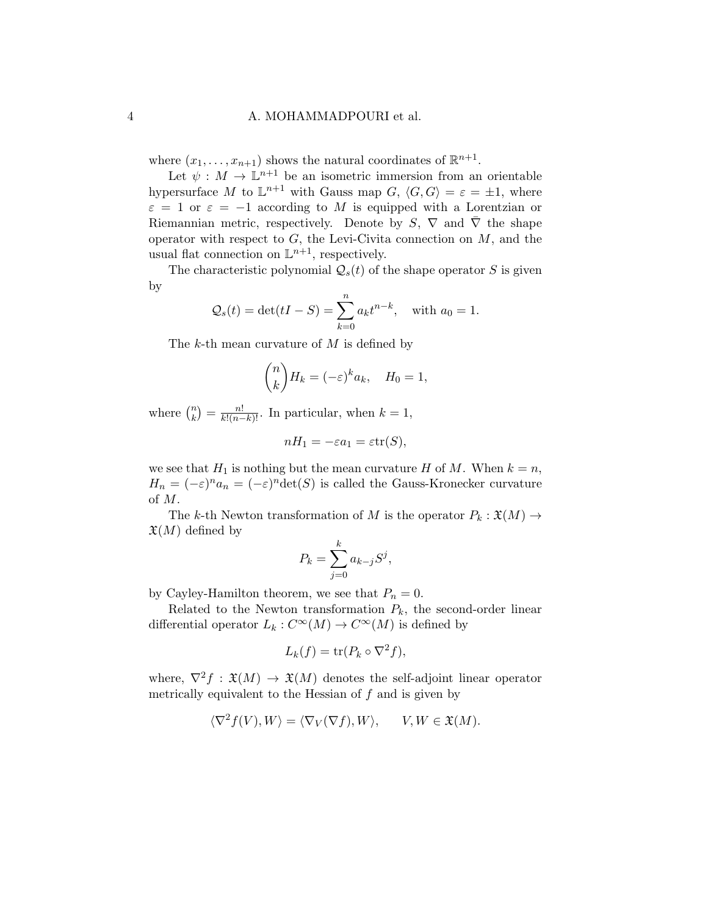### 4 A. MOHAMMADPOURI et al.

where  $(x_1, \ldots, x_{n+1})$  shows the natural coordinates of  $\mathbb{R}^{n+1}$ .

Let  $\psi : M \to \mathbb{L}^{n+1}$  be an isometric immersion from an orientable hypersurface M to  $\mathbb{L}^{n+1}$  with Gauss map  $G, \langle G, G \rangle = \varepsilon = \pm 1$ , where  $\varepsilon = 1$  or  $\varepsilon = -1$  according to M is equipped with a Lorentzian or Riemannian metric, respectively. Denote by S,  $\nabla$  and  $\overline{\nabla}$  the shape operator with respect to  $G$ , the Levi-Civita connection on  $M$ , and the usual flat connection on  $\mathbb{L}^{n+1}$ , respectively.

The characteristic polynomial  $\mathcal{Q}_s(t)$  of the shape operator S is given by

$$
Q_s(t) = \det(tI - S) = \sum_{k=0}^{n} a_k t^{n-k}
$$
, with  $a_0 = 1$ .

The k-th mean curvature of  $M$  is defined by

$$
\binom{n}{k} H_k = (-\varepsilon)^k a_k, \quad H_0 = 1,
$$

where  $\binom{n}{k}$  $\binom{n}{k} = \frac{n!}{k!(n-k)!}$ . In particular, when  $k = 1$ ,

$$
nH_1 = -\varepsilon a_1 = \varepsilon \text{tr}(S),
$$

we see that  $H_1$  is nothing but the mean curvature H of M. When  $k = n$ ,  $H_n = (-\varepsilon)^n a_n = (-\varepsilon)^n \det(S)$  is called the Gauss-Kronecker curvature of M.

The k-th Newton transformation of M is the operator  $P_k : \mathfrak{X}(M) \to$  $\mathfrak{X}(M)$  defined by

$$
P_k = \sum_{j=0}^k a_{k-j} S^j,
$$

by Cayley-Hamilton theorem, we see that  $P_n = 0$ .

Related to the Newton transformation  $P_k$ , the second-order linear differential operator  $L_k: C^{\infty}(M) \to C^{\infty}(M)$  is defined by

$$
L_k(f) = \operatorname{tr}(P_k \circ \nabla^2 f),
$$

where,  $\nabla^2 f : \mathfrak{X}(M) \to \mathfrak{X}(M)$  denotes the self-adjoint linear operator metrically equivalent to the Hessian of  $f$  and is given by

$$
\langle \nabla^2 f(V), W \rangle = \langle \nabla_V (\nabla f), W \rangle, \qquad V, W \in \mathfrak{X}(M).
$$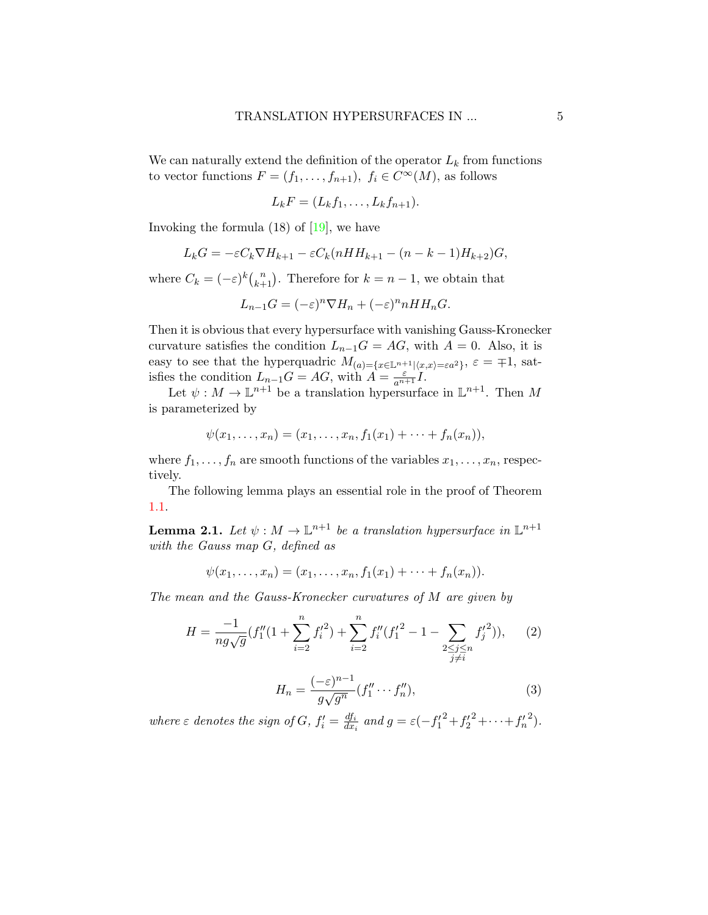We can naturally extend the definition of the operator  $L_k$  from functions to vector functions  $F = (f_1, \ldots, f_{n+1}), f_i \in C^{\infty}(M)$ , as follows

$$
L_kF=(L_kf_1,\ldots,L_kf_{n+1}).
$$

Invoking the formula  $(18)$  of  $\boxed{19}$ , we have

$$
L_k G = -\varepsilon C_k \nabla H_{k+1} - \varepsilon C_k (nHH_{k+1} - (n - k - 1)H_{k+2})G,
$$

where  $C_k = (-\varepsilon)^k {n \choose k+1}$ . Therefore for  $k = n-1$ , we obtain that

$$
L_{n-1}G = (-\varepsilon)^n \nabla H_n + (-\varepsilon)^n n H H_n G.
$$

Then it is obvious that every hypersurface with vanishing Gauss-Kronecker curvature satisfies the condition  $L_{n-1}G = AG$ , with  $A = 0$ . Also, it is easy to see that the hyperquadric  $M_{(a) = \{x \in \mathbb{L}^{n+1} | (x,x) = \varepsilon a^2\}}, \varepsilon = \pm 1$ , satisfies the condition  $L_{n-1}G = AG$ , with  $A = \frac{\varepsilon}{a^{n+1}}I$ .

Let  $\psi: M \to \mathbb{L}^{n+1}$  be a translation hypersurface in  $\mathbb{L}^{n+1}$ . Then M is parameterized by

$$
\psi(x_1, \ldots, x_n) = (x_1, \ldots, x_n, f_1(x_1) + \cdots + f_n(x_n)),
$$

where  $f_1, \ldots, f_n$  are smooth functions of the variables  $x_1, \ldots, x_n$ , respectively.

The following lemma plays an essential role in the proof of Theorem [1.1.](#page-2-0)

**Lemma 2.1.** Let  $\psi : M \to \mathbb{L}^{n+1}$  be a translation hypersurface in  $\mathbb{L}^{n+1}$ with the Gauss map G, defined as

$$
\psi(x_1, \ldots, x_n) = (x_1, \ldots, x_n, f_1(x_1) + \cdots + f_n(x_n)).
$$

The mean and the Gauss-Kronecker curvatures of M are given by

<span id="page-4-0"></span>
$$
H = \frac{-1}{ng\sqrt{g}}(f_1''(1+\sum_{i=2}^n f_i'^2) + \sum_{i=2}^n f_i''(f_1'^2 - 1 - \sum_{\substack{2 \le j \le n \\ j \ne i}} f_j'^2)), \quad (2)
$$

<span id="page-4-1"></span>
$$
H_n = \frac{(-\varepsilon)^{n-1}}{g\sqrt{g^n}}(f_1'' \cdots f_n''),\tag{3}
$$

where  $\varepsilon$  denotes the sign of G,  $f_i' = \frac{df_i}{dx_i}$  $\frac{df_i}{dx_i}$  and  $g = \varepsilon \left(-f_1'^2 + f_2'^2 + \cdots + f_n'^2\right)$ .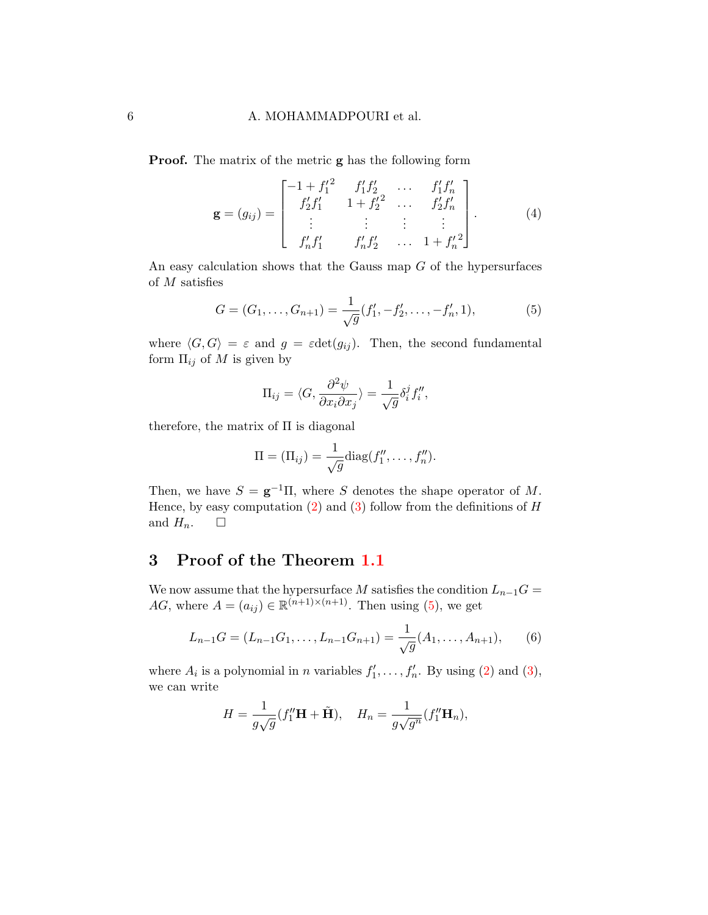#### 6 A. MOHAMMADPOURI et al.

**Proof.** The matrix of the metric **g** has the following form

<span id="page-5-1"></span>
$$
\mathbf{g} = (g_{ij}) = \begin{bmatrix} -1 + f_1'^2 & f_1' f_2' & \cdots & f_1' f_n' \\ f_2' f_1' & 1 + f_2' & \cdots & f_2' f_n' \\ \vdots & \vdots & \vdots & \vdots \\ f_n' f_1' & f_n' f_2' & \cdots & 1 + f_n' \end{bmatrix} .
$$
 (4)

An easy calculation shows that the Gauss map  $G$  of the hypersurfaces of M satisfies

<span id="page-5-0"></span>
$$
G = (G_1, \dots, G_{n+1}) = \frac{1}{\sqrt{g}} (f'_1, -f'_2, \dots, -f'_n, 1),
$$
 (5)

where  $\langle G, G \rangle = \varepsilon$  and  $g = \varepsilon det(g_{ij})$ . Then, the second fundamental form  $\Pi_{ij}$  of M is given by

$$
\Pi_{ij} = \langle G, \frac{\partial^2 \psi}{\partial x_i \partial x_j} \rangle = \frac{1}{\sqrt{g}} \delta_i^j f_i'',
$$

therefore, the matrix of  $\Pi$  is diagonal

$$
\Pi = (\Pi_{ij}) = \frac{1}{\sqrt{g}} \text{diag}(f''_1, \dots, f''_n).
$$

Then, we have  $S = \mathbf{g}^{-1}\Pi$ , where S denotes the shape operator of M. Hence, by easy computation  $(2)$  and  $(3)$  follow from the definitions of H and  $H_n$ .  $\Box$ 

# 3 Proof of the Theorem [1.1](#page-2-0)

We now assume that the hypersurface M satisfies the condition  $L_{n-1}G =$ AG, where  $A = (a_{ij}) \in \mathbb{R}^{(n+1)\times(n+1)}$ . Then using [\(5\)](#page-5-0), we get

<span id="page-5-2"></span>
$$
L_{n-1}G = (L_{n-1}G_1, \dots, L_{n-1}G_{n+1}) = \frac{1}{\sqrt{g}}(A_1, \dots, A_{n+1}),
$$
 (6)

where  $A_i$  is a polynomial in *n* variables  $f'_1, \ldots, f'_n$ . By using [\(2\)](#page-4-0) and [\(3\)](#page-4-1), we can write

$$
H = \frac{1}{g\sqrt{g}}(f_1''\mathbf{H} + \tilde{\mathbf{H}}), \quad H_n = \frac{1}{g\sqrt{g^n}}(f_1''\mathbf{H}_n),
$$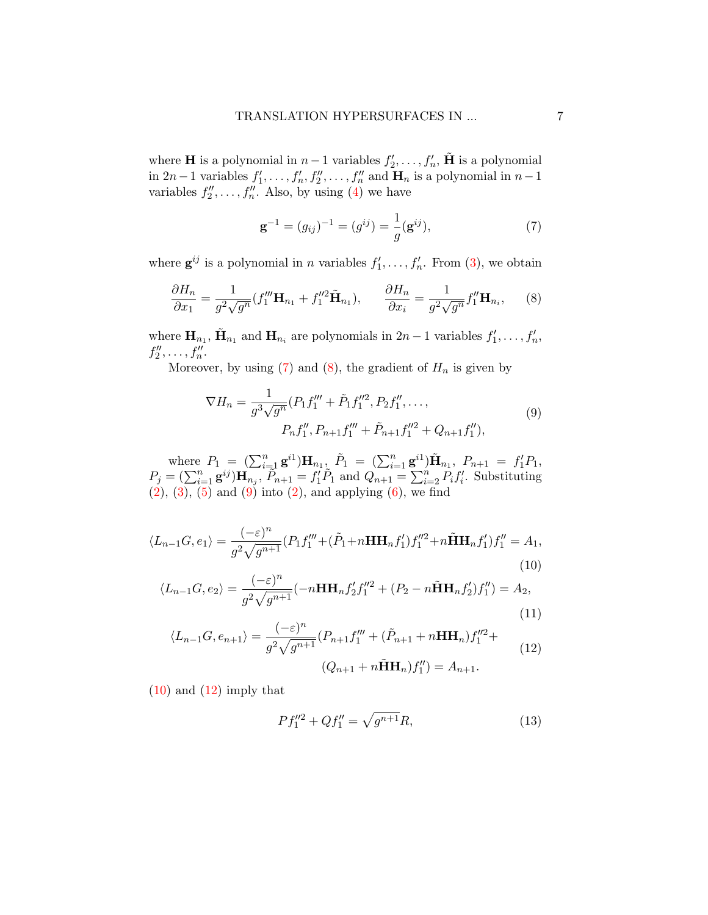where **H** is a polynomial in  $n-1$  variables  $f'_2, \ldots, f'_n$ ,  $\tilde{H}$  is a polynomial in 2n – 1 variables  $f'_1, \ldots, f'_n, f''_2, \ldots, f''_n$  and  $\mathbf{H}_n$  is a polynomial in  $n-1$ variables  $f''_2, \ldots, f''_n$ . Also, by using [\(4\)](#page-5-1) we have

<span id="page-6-0"></span>
$$
\mathbf{g}^{-1} = (g_{ij})^{-1} = (g^{ij}) = \frac{1}{g}(\mathbf{g}^{ij}),\tag{7}
$$

where  $g^{ij}$  is a polynomial in *n* variables  $f'_1, \ldots, f'_n$ . From [\(3\)](#page-4-1), we obtain

<span id="page-6-1"></span>
$$
\frac{\partial H_n}{\partial x_1} = \frac{1}{g^2 \sqrt{g^n}} (f_1''' \mathbf{H}_{n_1} + f_1''^2 \tilde{\mathbf{H}}_{n_1}), \qquad \frac{\partial H_n}{\partial x_i} = \frac{1}{g^2 \sqrt{g^n}} f_1'' \mathbf{H}_{n_i}, \qquad (8)
$$

where  $\mathbf{H}_{n_1}$ ,  $\tilde{\mathbf{H}}_{n_1}$  and  $\mathbf{H}_{n_i}$  are polynomials in  $2n-1$  variables  $f'_1, \ldots, f'_n$ ,  $f''_2, \ldots, f''_n.$ 

<span id="page-6-2"></span>Moreover, by using  $(7)$  and  $(8)$ , the gradient of  $H_n$  is given by

$$
\nabla H_n = \frac{1}{g^3 \sqrt{g^n}} (P_1 f_1''' + \tilde{P}_1 f_1''^2, P_2 f_1'', \dots, \\
P_n f_1'', P_{n+1} f_1''' + \tilde{P}_{n+1} f_1''^2 + Q_{n+1} f_1''),
$$
\n(9)

where  $P_1 = (\sum_{i=1}^n \mathbf{g}^{i1}) \mathbf{H}_{n_1}$ ,  $\tilde{P}_1 = (\sum_{i=1}^n \mathbf{g}^{i1}) \tilde{\mathbf{H}}_{n_1}$ ,  $P_{n+1} = f_1' P_1$ ,  $P_j = (\sum_{i=1}^n \mathbf{g}^{ij}) \mathbf{H}_{n_j}$ ,  $\widetilde{P}_{n+1} = f'_1 \widetilde{P}_1$  and  $Q_{n+1} = \sum_{i=2}^n \widetilde{P}_i f'_i$ . Substituting  $(2), (3), (5)$  $(2), (3), (5)$  $(2), (3), (5)$  $(2), (3), (5)$  $(2), (3), (5)$  and  $(9)$  into  $(2),$  and applying  $(6),$  $(6),$  we find

<span id="page-6-3"></span>
$$
\langle L_{n-1}G, e_1 \rangle = \frac{(-\varepsilon)^n}{g^2 \sqrt{g^{n+1}}} (P_1 f_1''' + (\tilde{P}_1 + n \mathbf{H} \mathbf{H}_n f_1') f_1''^2 + n \tilde{\mathbf{H}} \mathbf{H}_n f_1' ) f_1'' = A_1,
$$
\n(10)

<span id="page-6-5"></span>
$$
\langle L_{n-1}G, e_2 \rangle = \frac{(-\varepsilon)^n}{g^2 \sqrt{g^{n+1}}} (-n \mathbf{H} \mathbf{H}_n f_2' f_1''^2 + (P_2 - n \tilde{\mathbf{H}} \mathbf{H}_n f_2') f_1'' \rangle = A_2,
$$
\n(11)

<span id="page-6-4"></span>
$$
\langle L_{n-1}G, e_{n+1} \rangle = \frac{(-\varepsilon)^n}{g^2 \sqrt{g^{n+1}}} (P_{n+1} f_1''' + (\tilde{P}_{n+1} + n \mathbf{H} \mathbf{H}_n) f_1''^2 +
$$
  

$$
(Q_{n+1} + n \tilde{\mathbf{H}} \mathbf{H}_n) f_1'' \rangle = A_{n+1}.
$$
 (12)

 $(10)$  and  $(12)$  imply that

<span id="page-6-6"></span>
$$
Pf_1''^2 + Qf_1'' = \sqrt{g^{n+1}}R,\t\t(13)
$$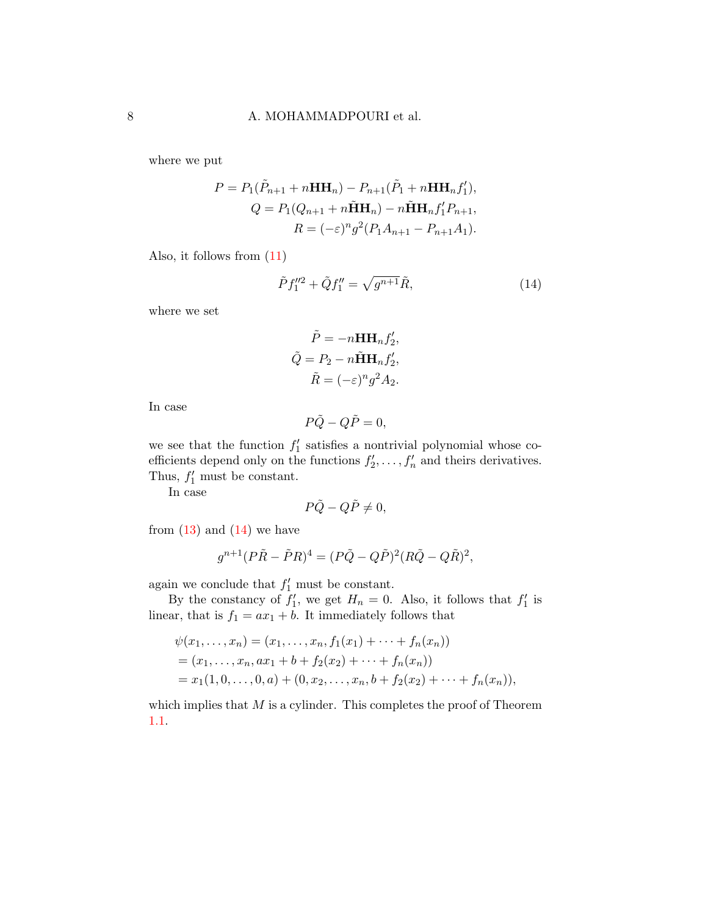where we put

$$
P = P_1(\tilde{P}_{n+1} + nHH_n) - P_{n+1}(\tilde{P}_1 + nHH_nf'_1),
$$
  
\n
$$
Q = P_1(Q_{n+1} + nHH_n) - nHH_nf'_1P_{n+1},
$$
  
\n
$$
R = (-\varepsilon)^n g^2(P_1A_{n+1} - P_{n+1}A_1).
$$

Also, it follows from [\(11\)](#page-6-5)

<span id="page-7-0"></span>
$$
\tilde{P}f_1''^2 + \tilde{Q}f_1'' = \sqrt{g^{n+1}}\tilde{R},\tag{14}
$$

where we set

$$
\tilde{P} = -n\mathbf{H}\mathbf{H}_n f_2',
$$
  
\n
$$
\tilde{Q} = P_2 - n\tilde{\mathbf{H}}\mathbf{H}_n f_2',
$$
  
\n
$$
\tilde{R} = (-\varepsilon)^n g^2 A_2.
$$

In case

$$
P\tilde{Q} - Q\tilde{P} = 0,
$$

we see that the function  $f'_1$  satisfies a nontrivial polynomial whose coefficients depend only on the functions  $f'_2, \ldots, f'_n$  and theirs derivatives. Thus,  $f'_1$  must be constant.

In case

$$
P\tilde{Q} - Q\tilde{P} \neq 0,
$$

from  $(13)$  and  $(14)$  we have

$$
g^{n+1}(P\tilde{R}-\tilde{P}R)^{4}=(P\tilde{Q}-Q\tilde{P})^{2}(R\tilde{Q}-Q\tilde{R})^{2},
$$

again we conclude that  $f'_1$  must be constant.

By the constancy of  $f'_1$ , we get  $H_n = 0$ . Also, it follows that  $f'_1$  is linear, that is  $f_1 = ax_1 + b$ . It immediately follows that

$$
\psi(x_1, \ldots, x_n) = (x_1, \ldots, x_n, f_1(x_1) + \cdots + f_n(x_n))
$$
  
=  $(x_1, \ldots, x_n, ax_1 + b + f_2(x_2) + \cdots + f_n(x_n))$   
=  $x_1(1, 0, \ldots, 0, a) + (0, x_2, \ldots, x_n, b + f_2(x_2) + \cdots + f_n(x_n)),$ 

which implies that  $M$  is a cylinder. This completes the proof of Theorem [1.1.](#page-2-0)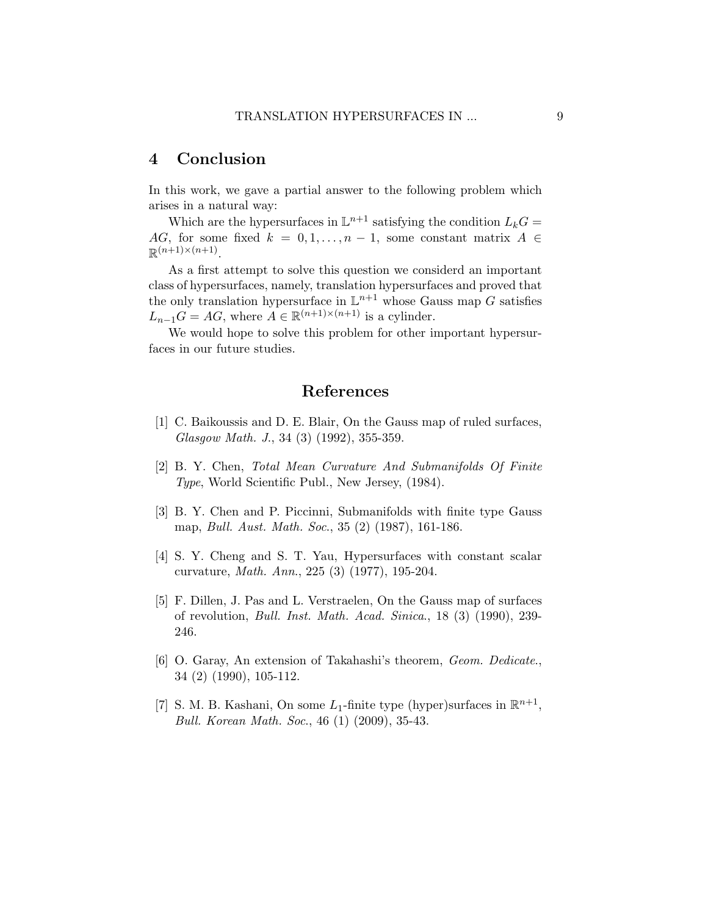# 4 Conclusion

In this work, we gave a partial answer to the following problem which arises in a natural way:

Which are the hypersurfaces in  $\mathbb{L}^{n+1}$  satisfying the condition  $L_kG =$ AG, for some fixed  $k = 0, 1, \ldots, n - 1$ , some constant matrix  $A \in$  $\mathbb{R}^{(n+1)\times(n+1)}$ .

As a first attempt to solve this question we considerd an important class of hypersurfaces, namely, translation hypersurfaces and proved that the only translation hypersurface in  $\mathbb{L}^{n+1}$  whose Gauss map G satisfies  $L_{n-1}G = AG$ , where  $A \in \mathbb{R}^{(n+1)\times(n+1)}$  is a cylinder.

We would hope to solve this problem for other important hypersurfaces in our future studies.

# References

- <span id="page-8-5"></span>[1] C. Baikoussis and D. E. Blair, On the Gauss map of ruled surfaces, Glasgow Math. J., 34 (3) (1992), 355-359.
- <span id="page-8-0"></span>[2] B. Y. Chen, Total Mean Curvature And Submanifolds Of Finite Type, World Scientific Publ., New Jersey, (1984).
- <span id="page-8-3"></span>[3] B. Y. Chen and P. Piccinni, Submanifolds with finite type Gauss map, Bull. Aust. Math. Soc., 35 (2) (1987), 161-186.
- <span id="page-8-2"></span>[4] S. Y. Cheng and S. T. Yau, Hypersurfaces with constant scalar curvature, Math. Ann., 225 (3) (1977), 195-204.
- <span id="page-8-6"></span>[5] F. Dillen, J. Pas and L. Verstraelen, On the Gauss map of surfaces of revolution, Bull. Inst. Math. Acad. Sinica., 18 (3) (1990), 239- 246.
- <span id="page-8-4"></span>[6] O. Garay, An extension of Takahashi's theorem, Geom. Dedicate., 34 (2) (1990), 105-112.
- <span id="page-8-1"></span>[7] S. M. B. Kashani, On some  $L_1$ -finite type (hyper)surfaces in  $\mathbb{R}^{n+1}$ , Bull. Korean Math. Soc., 46 (1) (2009), 35-43.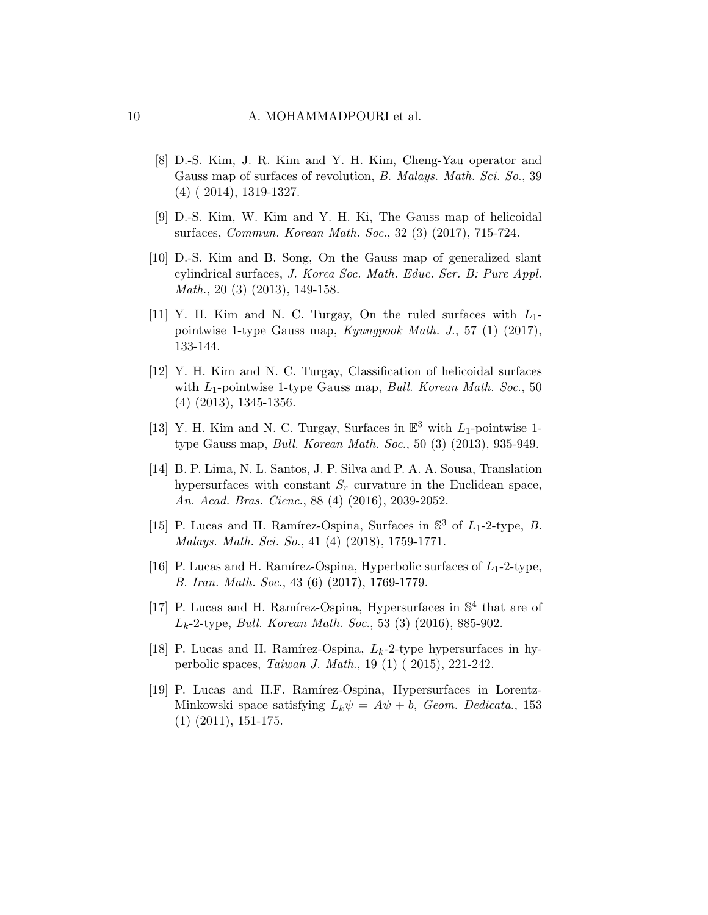- <span id="page-9-8"></span>[8] D.-S. Kim, J. R. Kim and Y. H. Kim, Cheng-Yau operator and Gauss map of surfaces of revolution, *B. Malays. Math. Sci. So.*, 39 (4) ( 2014), 1319-1327.
- <span id="page-9-9"></span>[9] D.-S. Kim, W. Kim and Y. H. Ki, The Gauss map of helicoidal surfaces, Commun. Korean Math. Soc., 32 (3) (2017), 715-724.
- <span id="page-9-7"></span>[10] D.-S. Kim and B. Song, On the Gauss map of generalized slant cylindrical surfaces, J. Korea Soc. Math. Educ. Ser. B: Pure Appl. Math., 20 (3) (2013), 149-158.
- <span id="page-9-4"></span>[11] Y. H. Kim and N. C. Turgay, On the ruled surfaces with  $L_1$ pointwise 1-type Gauss map, Kyungpook Math. J., 57 (1) (2017), 133-144.
- <span id="page-9-5"></span>[12] Y. H. Kim and N. C. Turgay, Classification of helicoidal surfaces with  $L_1$ -pointwise 1-type Gauss map, *Bull. Korean Math. Soc.*, 50 (4) (2013), 1345-1356.
- <span id="page-9-6"></span>[13] Y. H. Kim and N. C. Turgay, Surfaces in  $\mathbb{E}^3$  with  $L_1$ -pointwise 1type Gauss map, Bull. Korean Math. Soc., 50 (3) (2013), 935-949.
- <span id="page-9-11"></span>[14] B. P. Lima, N. L. Santos, J. P. Silva and P. A. A. Sousa, Translation hypersurfaces with constant  $S_r$  curvature in the Euclidean space, An. Acad. Bras. Cienc., 88 (4) (2016), 2039-2052.
- <span id="page-9-0"></span>[15] P. Lucas and H. Ramírez-Ospina, Surfaces in  $\mathbb{S}^3$  of  $L_1$ -2-type, B. Malays. Math. Sci. So., 41 (4) (2018), 1759-1771.
- <span id="page-9-1"></span>[16] P. Lucas and H. Ramírez-Ospina, Hyperbolic surfaces of  $L_1$ -2-type, B. Iran. Math. Soc., 43 (6) (2017), 1769-1779.
- <span id="page-9-2"></span>[17] P. Lucas and H. Ramírez-Ospina, Hypersurfaces in  $\mathbb{S}^4$  that are of  $L_k$ -2-type, *Bull. Korean Math. Soc.*, 53 (3) (2016), 885-902.
- <span id="page-9-3"></span>[18] P. Lucas and H. Ramírez-Ospina,  $L_k$ -2-type hypersurfaces in hyperbolic spaces, Taiwan J. Math., 19 (1) ( 2015), 221-242.
- <span id="page-9-10"></span>[19] P. Lucas and H.F. Ramírez-Ospina, Hypersurfaces in Lorentz-Minkowski space satisfying  $L_k \psi = A \psi + b$ , Geom. Dedicata., 153 (1) (2011), 151-175.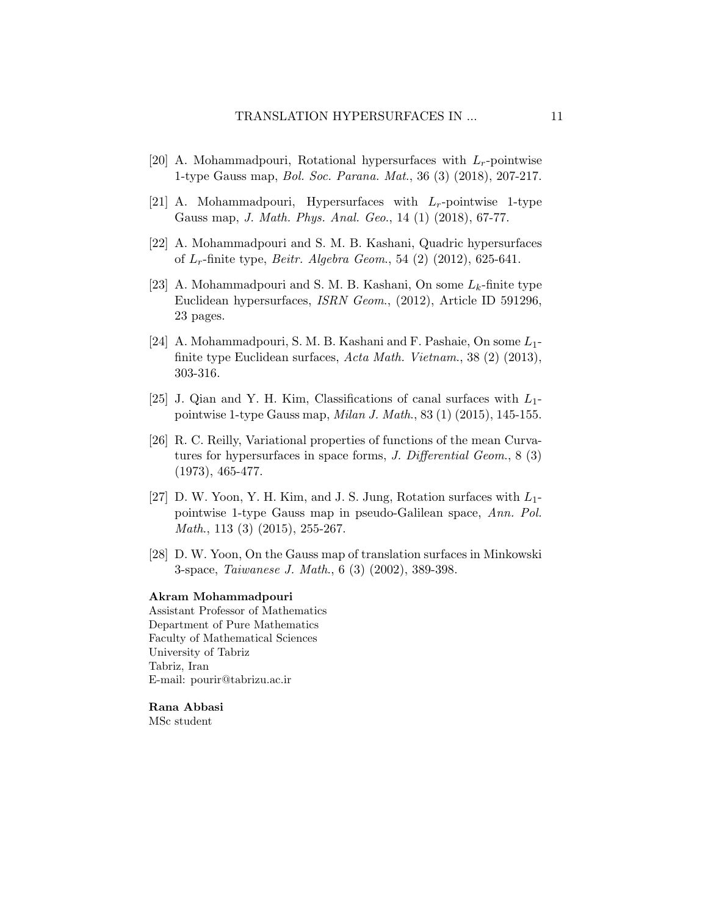- <span id="page-10-6"></span>[20] A. Mohammadpouri, Rotational hypersurfaces with  $L_r$ -pointwise 1-type Gauss map, Bol. Soc. Parana. Mat., 36 (3) (2018), 207-217.
- <span id="page-10-7"></span>[21] A. Mohammadpouri, Hypersurfaces with  $L_r$ -pointwise 1-type Gauss map, J. Math. Phys. Anal. Geo., 14 (1) (2018), 67-77.
- <span id="page-10-1"></span>[22] A. Mohammadpouri and S. M. B. Kashani, Quadric hypersurfaces of  $L_r$ -finite type, *Beitr. Algebra Geom.*, 54 (2) (2012), 625-641.
- <span id="page-10-2"></span>[23] A. Mohammadpouri and S. M. B. Kashani, On some  $L_k$ -finite type Euclidean hypersurfaces, ISRN Geom., (2012), Article ID 591296, 23 pages.
- <span id="page-10-3"></span>[24] A. Mohammadpouri, S. M. B. Kashani and F. Pashaie, On some  $L_1$ finite type Euclidean surfaces, Acta Math. Vietnam., 38 (2) (2013), 303-316.
- <span id="page-10-4"></span>[25] J. Qian and Y. H. Kim, Classifications of canal surfaces with  $L_1$ pointwise 1-type Gauss map, Milan J. Math., 83 (1) (2015), 145-155.
- <span id="page-10-0"></span>[26] R. C. Reilly, Variational properties of functions of the mean Curvatures for hypersurfaces in space forms, J. Differential Geom., 8 (3) (1973), 465-477.
- <span id="page-10-5"></span>[27] D. W. Yoon, Y. H. Kim, and J. S. Jung, Rotation surfaces with  $L_1$ pointwise 1-type Gauss map in pseudo-Galilean space, Ann. Pol. Math., 113 (3) (2015), 255-267.
- <span id="page-10-8"></span>[28] D. W. Yoon, On the Gauss map of translation surfaces in Minkowski 3-space, Taiwanese J. Math., 6 (3) (2002), 389-398.

#### Akram Mohammadpouri

Assistant Professor of Mathematics Department of Pure Mathematics Faculty of Mathematical Sciences University of Tabriz Tabriz, Iran E-mail: pourir@tabrizu.ac.ir

Rana Abbasi MSc student